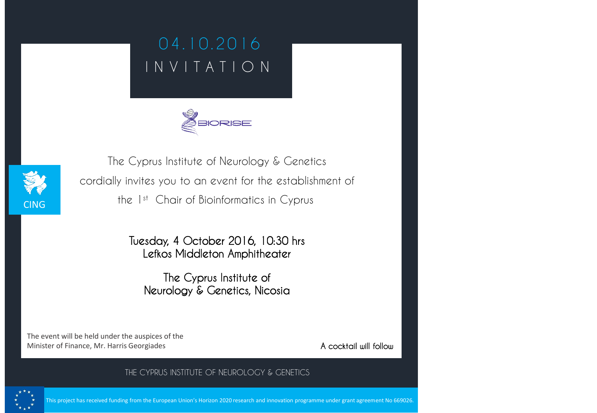## **0 4 . 1 0 . 2 0 1 6 I N V I T A T I O N**





**The Cyprus Institute of Neurology & Genetics cordially invites you to an event for the establishment of the 1st Chair of Bioinformatics in Cyprus**

> **Tuesday, 4 October 2016, 10:30 hrs Lefkos Middleton Amphitheater**

**The Cyprus Institute of Neurology & Genetics, Nicosia**

**THE CYPRUS INSTITUTE OF NEUROLOGY & GENETICS**

The event will be held under the auspices of the Minister of Finance, Mr. Harris Georgiades

**A cocktail will follow**



This project has received funding from the European Union's Horizon 2020 research and innovation programme under grant agreement No 669026.